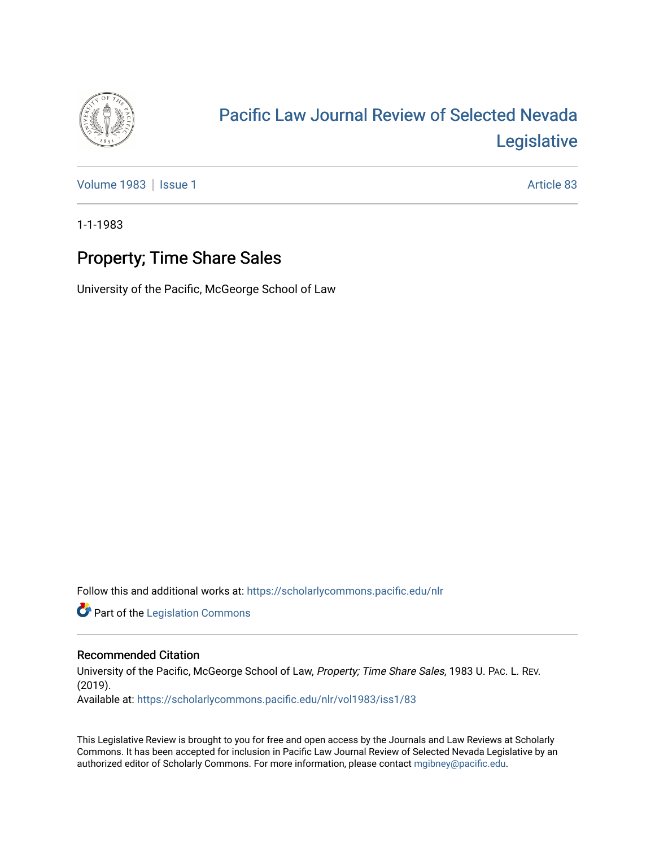

# [Pacific Law Journal Review of Selected Nevada](https://scholarlycommons.pacific.edu/nlr)  [Legislative](https://scholarlycommons.pacific.edu/nlr)

[Volume 1983](https://scholarlycommons.pacific.edu/nlr/vol1983) | [Issue 1](https://scholarlycommons.pacific.edu/nlr/vol1983/iss1) Article 83

1-1-1983

# Property; Time Share Sales

University of the Pacific, McGeorge School of Law

Follow this and additional works at: [https://scholarlycommons.pacific.edu/nlr](https://scholarlycommons.pacific.edu/nlr?utm_source=scholarlycommons.pacific.edu%2Fnlr%2Fvol1983%2Fiss1%2F83&utm_medium=PDF&utm_campaign=PDFCoverPages) 

**Part of the [Legislation Commons](http://network.bepress.com/hgg/discipline/859?utm_source=scholarlycommons.pacific.edu%2Fnlr%2Fvol1983%2Fiss1%2F83&utm_medium=PDF&utm_campaign=PDFCoverPages)** 

### Recommended Citation

University of the Pacific, McGeorge School of Law, Property; Time Share Sales, 1983 U. PAC. L. REV. (2019). Available at: [https://scholarlycommons.pacific.edu/nlr/vol1983/iss1/83](https://scholarlycommons.pacific.edu/nlr/vol1983/iss1/83?utm_source=scholarlycommons.pacific.edu%2Fnlr%2Fvol1983%2Fiss1%2F83&utm_medium=PDF&utm_campaign=PDFCoverPages)

This Legislative Review is brought to you for free and open access by the Journals and Law Reviews at Scholarly Commons. It has been accepted for inclusion in Pacific Law Journal Review of Selected Nevada Legislative by an authorized editor of Scholarly Commons. For more information, please contact [mgibney@pacific.edu](mailto:mgibney@pacific.edu).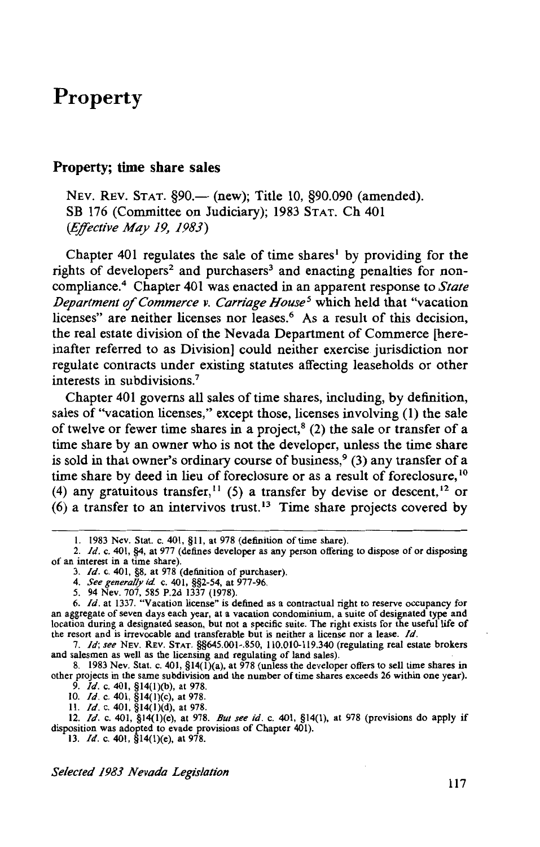#### **Property; time share sales**

NEV. REV. STAT. §90.— (new); Title 10, §90.090 (amended). SB 176 (Committee on Judiciary); 1983 STAT. Ch 401 *(Effective May 19, 1983)* 

Chapter 401 regulates the sale of time shares<sup>1</sup> by providing for the rights of developers<sup>2</sup> and purchasers<sup>3</sup> and enacting penalties for noncompliance.4 Chapter 401 was enacted in an apparent response to *State Department of Commerce v. Carriage House<sup>5</sup>* which held that "vacation licenses" are neither licenses nor leases.<sup>6</sup> As a result of this decision, the real estate division of the Nevada Department of Commerce [hereinafter referred to as Division] could neither exercise jurisdiction nor regulate contracts under existing statutes affecting leaseholds or other interests in subdivisions.7

Chapter 401 governs all sales of time shares, including, by definition, sales of "vacation licenses," except those, licenses involving (1) the sale of twelve or fewer time shares in a project,<sup>8</sup> (2) the sale or transfer of a time share by an owner who is not the developer, unless the time share is sold in that owner's ordinary course of business,<sup>9</sup> (3) any transfer of a time share by deed in lieu of foreclosure or as a result of foreclosure, <sup>10</sup> (4) any gratuitous transfer,<sup>11</sup> (5) a transfer by devise or descent,<sup>12</sup> or  $(6)$  a transfer to an intervivos trust.<sup>13</sup> Time share projects covered by

I. 1983 Nev. Stat. c. 401, §II, at 978 (definition of time share).

<sup>2.</sup> *Id.* c. 401, §4, at 977 (defines developer as any person offering to dispose of or disposing of an interest in a time share).

<sup>3.</sup> */d.* c. 401, §8, at 978 (definition of purchaser).

<sup>4.</sup> *See generally id* c. 401, §§2-54, at 977-96.

<sup>5. 94</sup> Nev. 707, 585 P.2d 1337 (1978).

<sup>6.</sup> */d.* at 1337. "Vacation license" is defined as a contractual right to reserve occupancy for an aggregate of seven days each year, at a vacation condominium, a suite of designated type and location during a designated season, but not a specific suite. The right exists for the useful life of the resort and is irrevocable and transferable but is neither a license nor a lease. */d.* 

<sup>7.</sup> ld; *see* NEV. REV. STAT. §§645.001-.850, I IO.OI0-119.340 (regulating real estate brokers and salesmen as well as the licensing and regulating of land sales).

<sup>8. 1983</sup> Nev. Stat. c. 401, §14(l)(a), at 978 (unless the developer offers to sell time shares in other projects in the same subdivision and the number of time shares exceeds 26 within one year).

<sup>9.</sup> *Id.* c. 401, §14(l)(b), at 978.

<sup>10.</sup> *Id.* c. 401, §14(l)(c), at 978.

II. */d.* c. 401, §14(l)(d), at 978.

<sup>12.</sup> */d.* c. 401, §14(l)(e), at 978. *But see id.* c. 401, §14(1), at 978 (provisions do apply if disposition was adopted to evade provisions of Chapter 401).

<sup>13.</sup> */d.* c. 401, §14(I)(e), at 978.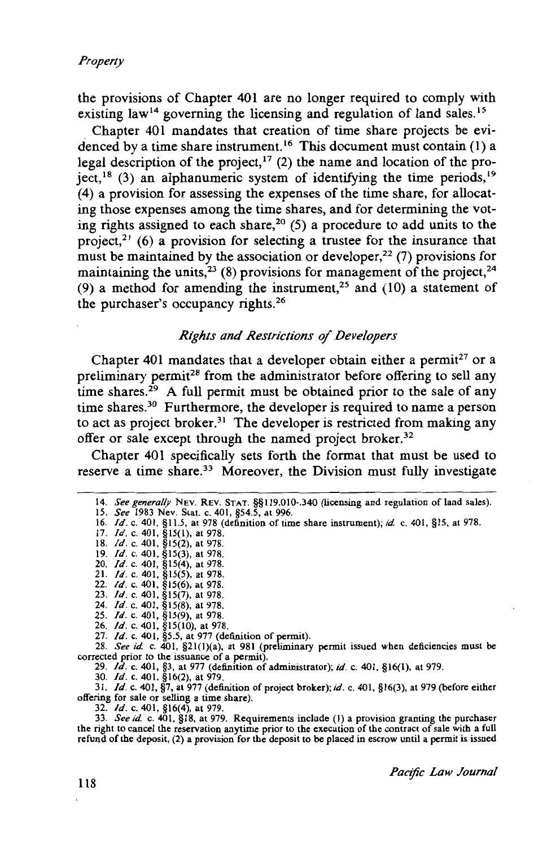the provisions of Chapter 401 are no longer required to comply with existing law<sup>14</sup> governing the licensing and regulation of land sales.<sup>15</sup>

Chapter 401 mandates that creation of time share projects be evidenced by a time share instrument.<sup>16</sup> This document must contain (1) a legal description of the project,  $17$  (2) the name and location of the project,  $18$  (3) an alphanumeric system of identifying the time periods,  $19$ (4) a provision for assessing the expenses of the time share, for allocating those expenses among the time shares, and for determining the voting rights assigned to each share,<sup>20</sup> (5) a procedure to add units to the project,<sup>21</sup> (6) a provision for selecting a trustee for the insurance that must be maintained by the association or developer,<sup>22</sup> (7) provisions for maintaining the units,<sup>23</sup> (8) provisions for management of the project,<sup>24</sup> (9) a method for amending the instrument,<sup>25</sup> and (10) a statement of the purchaser's occupancy rights. <sup>26</sup>

#### *Rights and Restrictions of Developers*

Chapter 401 mandates that a developer obtain either a permit<sup>27</sup> or a preliminary permit<sup>28</sup> from the administrator before offering to sell any time shares.<sup>29</sup> A full permit must be obtained prior to the sale of any time shares.<sup>30</sup> Furthermore, the developer is required to name a person to act as project broker.31 The developer is restricted from making any offer or sale except through the named project broker.<sup>32</sup>

Chapter 401 specifically sets forth the format that must be used to reserve a time share.<sup>33</sup> Moreover, the Division must fully investigate

|  |                                                        | 14. See generally NEV. REV. STAT. §§119.010-.340 (licensing and regulation of land sales). |
|--|--------------------------------------------------------|--------------------------------------------------------------------------------------------|
|  | $15.0001$ $N_{\text{max}}$ $0.010545$ $\ldots$ $0.006$ |                                                                                            |

- 15. *See* 1983 Nev. Stat. c. 401, §54.5, at 996. 16. /d. c. 401, §11.5, at 978 (definition of time share instrument); *id* c. 401, §15, at 978.
- 17. *Id.* c. 401, §15(1), at 978.
- 18. */d.* c. 401, §15(2), at 978.
- 19. */d.* c. 401, §15(3), at 978.
- 20. */d.* c. 401, §15(4), at 978.
- 21. /d. c. 401, §15(5), at 978. 22. */d.* c. 401, §15(6), at 978.
- 23. */d.* c. 401, §15(7), at 978.
- 24. */d.* c. 401, §15(8), at 978.
- 25. */d.* c. 401, §15(9), at 978.
- 26. */d.* c. 401, §15(10), at 978.
- 27. */d.* c. 401, §5.5, at 977 (definition of permit).

28. *See id* c. 401, §2l(l)(a), at 981 (preliminary permit issued when deficiencies must be corrected prior to the issuance of a permit). 29. */d.* c. 401, §3, at 977 (definition of administrator); *id.* c. 401, §16(1), at 979.

30. */d.* c. 401, §16(2), at 979.

31. */d.* c. 401, §7, at 977 (definition of project broker); *id.* c. 401, §16(3), at 979 (before either offering for sale or selling a time share).

32. */d.* c. 401, §16(4), at 979.

33. *See id* c. 401, §18, at 979. Requirements include (I) a provision granting the purchaser the right to cancel the reservation anytime prior to the execution of the contract of sale with a full refund of the deposit, (2) a provision for the deposit to be placed in escrow until a permit is issued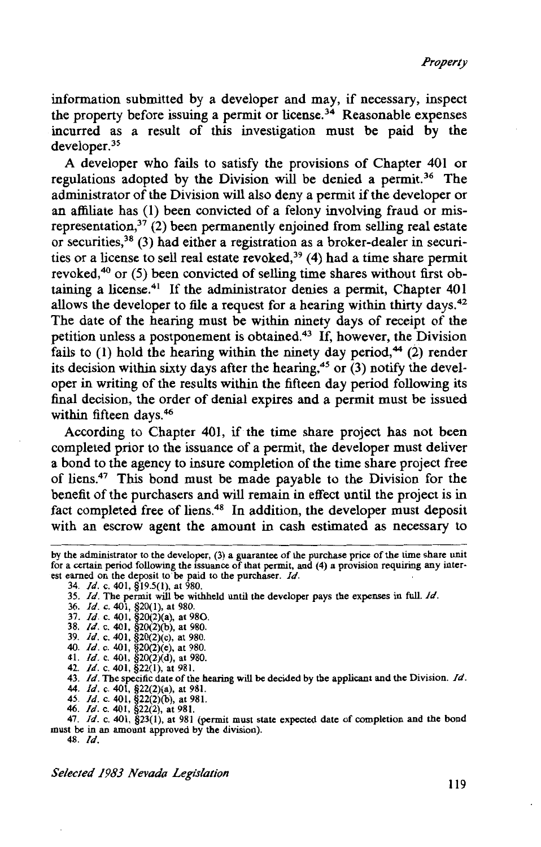information submitted by a developer and may, if necessary, inspect the property before issuing a permit or license.<sup>34</sup> Reasonable expenses incurred as a result of this investigation must be paid by the developer.<sup>35</sup>

A developer who fails to satisfy the provisions of Chapter 401 or regulations adopted by the Division will be denied a permit.<sup>36</sup> The administrator of the Division will also deny a permit if the developer or an affiliate has (I) been convicted of a felony involving fraud or misrepresentation,  $37$  (2) been permanently enjoined from selling real estate or securities,38 (3) had either a registration as a broker-dealer in securities or a license to sell real estate revoked,<sup>39</sup> (4) had a time share permit revoked,<sup>40</sup> or (5) been convicted of selling time shares without first obtaining a license.41 If the administrator denies a permit, Chapter 401 allows the developer to file a request for a hearing within thirty days.<sup>42</sup> The date of the hearing must be within ninety days of receipt of the petition unless a postponement is obtained.43 If, however, the Division fails to  $(1)$  hold the hearing within the ninety day period,<sup>44</sup>  $(2)$  render its decision within sixty days after the hearing,<sup>45</sup> or  $(3)$  notify the developer in writing of the results within the fifteen day period following its final decision, the order of denial expires and a permit must be issued within fifteen days.<sup>46</sup>

According to Chapter 401, if the time share project has not been completed prior to the issuance of a permit, the developer must deliver a bond to the agency to insure completion of the time share project free of liens.47 This bond must be made payable to the Division for the benefit of the purchasers and will remain in effect until the project is in fact completed free of liens.<sup>48</sup> In addition, the developer must deposit with an escrow agent the amount in cash estimated as necessary to

- 36. *Id.* c. 401, §20(1), at 980.
- 37. *Id.* c. 401, §20(2)(a), at 980.
- 38. *Id.* c. 401, §20(2)(b), at 980.
- 39. *Id.* c. 401, §20(2)(c), at 980.
- 40. *Id.* c. 401, §20(2)(e), at 980.
- 41. *Id.* c. 401, §20(2)(d), at 980.<br>42. *Id.* c. 401, §22(1), at 981.
- 
- 43. *Id.* The specific date of the hearing will be decided by the applicant and the Division. *Id.*
- 44. *Id.* c. 401, §22(2)(a), at 981. 45. Id. c. 401, §22(2)(b), at 981.
- 46. *Id.* c. 401, §22(2), at 981.

47. *Id.* c. 401, §23(1), at 981 (permit must state expected date of completion and the bond must be in an amount approved by the division). 48. *Id.* 

*Selected 1983 Nevada Legislation* 

by the administrator to the developer, (3) a guarantee of the purchase price of the time share unit for a certain period following the issuance of that permit, and (4) a provision requiring any interest earned on the deposit to'be paid to the purchaser. *Id.* 

<sup>34.</sup> *Id.* c. 401, §19.5(1), at 980.

<sup>35.</sup> *Id.* The permit will be withheld until the developer pays the expenses in full. *Id.*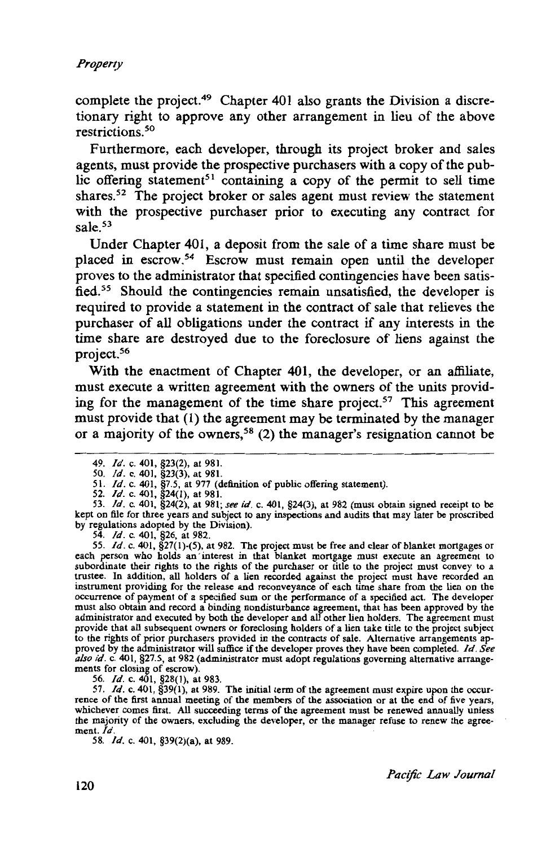complete the project.49 Chapter 401 also grants the Division a discretionary right to approve any other arrangement in lieu of the above restrictions. 50

Furthermore, each developer, through its project broker and sales agents, must provide the prospective purchasers with a copy of the public offering statement<sup>51</sup> containing a copy of the permit to sell time shares.<sup>52</sup> The project broker or sales agent must review the statement with the prospective purchaser prior to executing any contract for sale.<sup>53</sup>

Under Chapter 401, a deposit from the sale of a time share must be placed in escrow.54 Escrow must remain open until the developer proves to the administrator that specified contingencies have been satisfied.<sup>55</sup> Should the contingencies remain unsatisfied, the developer is required to provide a statement in the contract of sale that relieves the purchaser of all obligations under the contract if any interests in the time share are destroyed due to the foreclosure of liens against the project.56

With the enactment of Chapter 401, the developer, or an affiliate, must execute a written agreement with the owners of the units providing for the management of the time share project.<sup>57</sup> This agreement must provide that (1) the agreement may be terminated by the manager or a majority of the owners,<sup>58</sup> (2) the manager's resignation cannot be

54. */d.* c. 401, §26, at 982.

55. */d.* c. 401, §27(1)-(5), at 982. The project must be free and clear of blanket mortgages or each person who holds an interest in that blanket mortgage must execute an agreement to subordinate their rights to the rights of the purchaser or title to the project must convey to a trustee. In addition, all holders of a lien recorded against the project must have recorded an instrument providing for the release and reconveyance of each time share from the lien on the occurrence of payment of a specified sum or the performance of a specified act. The developer must also obtain and record a binding nondisturbance agreement, that has been approved by the administrator and executed by both the developer and all other lien holders. The agreement must provide that all subsequent owners or foreclosing holders of a lien take title to the project subject to the rights of prior purchasers provided in the contracts of sale. Alternative arrangements approved by the administrator will suffice if the developer proves they have been completed. */d. See also id.* c. 401, §27.5, at 982 (administrator must adopt regulations governing alternative arrangements for closing of escrow).

56. */d.* c. 401, §28(1), at 983.

57.  $Id.$  c. 401, §39(1), at 989. The initial term of the agreement must expire upon the occurrence of the first annual meeting of the members of the association or at the end of five years, whichever comes first. All succeeding terms of the agreement must be renewed annually unless the majority of the owners, excluding the developer, or the manager refuse to renew the agreement. Id

58. *Id.* c. 401, §39(2)(a), at 989.

<sup>49.</sup> /d. c. 401, §23(2), at 981.

<sup>50.</sup> */d.* c. 401, §23(3), at 981.

<sup>51.</sup> */d.* c. 401, §7.5, at 977 (definition of public offering statement).

<sup>52.</sup> /d. c. 401, §24(1), at 981.

<sup>53.</sup> */d.* c. 401, §24(2), at 981; *see id.* c. 401, §24(3), at 982 (must obtain signed receipt to be kept on file for three years and subject to any inspections and audits that may later be proscribed by regulations adopted by the Division).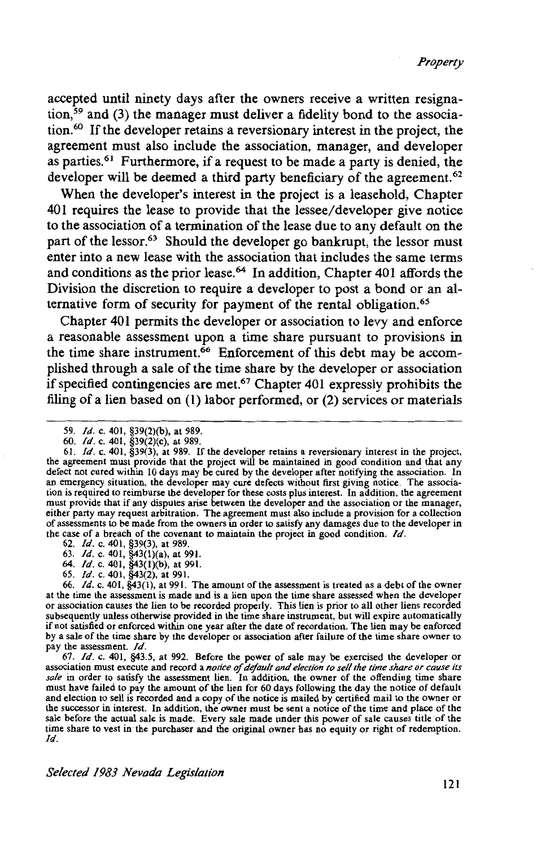accepted until ninety days after the owners receive a written resignation,<sup>59</sup> and (3) the manager must deliver a fidelity bond to the association.60 If the developer retains a reversionary interest in the project, the agreement must also include the association, manager, and developer as parties.61 Furthermore, if a request to be made a party is denied, the developer will be deemed a third party beneficiary of the agreement.<sup>62</sup>

When the developer's interest in the project is a leasehold, Chapter 401 requires the lease to provide that the lessee/developer give notice to the association of a termination of the lease due to any default on the part of the lessor.<sup>63</sup> Should the developer go bankrupt, the lessor must enter into a new lease with the association that includes the same terms and conditions as the prior lease.<sup>64</sup> In addition, Chapter 401 affords the Division the discretion to require a developer to post a bond or an alternative form of security for payment of the rental obligation.<sup>65</sup>

Chapter 401 permits the developer or association to levy and enforce a reasonable assessment upon a time share pursuant to provisions in the time share instrument.<sup>66</sup> Enforcement of this debt may be accomplished through a sale of the time share by the developer or association if specified contingencies are met.<sup>67</sup> Chapter 401 expressly prohibits the filing of a lien based on (I) labor performed, or (2) services or materials

- 64. */d.* c. 401, §43(1)(b), at 991.
- 65. */d.* c. 401, §43(2), at 991.

66. *Id.* c. 401, §43(1), at 991. The amount of the assessment is treated as a debt of the owner at the time the assessment is made and is a lien upon the time share assessed when the developer or association causes the lien to be recorded properly. This lien is prior to all other liens recorded subsequently unless otherwise provided in the time share instrument, but will expire automatically if not satisfied or enforced within one year after the date of recordation. The lien may be enforced by a sale of the time share by the developer or association after failure of the time share owner to pay the assessment. */d.* 

67. */d.* c. 401, §43.5, at 992. Before the power of sale may be exercised the developer or association must execute and record a *notice of difault and election to sell the time share or cause its sale* in order to satisfy the assessment lien. In addition, the owner of the offending time share must have failed to pay the amount of the lien for 60 days following the day the notice of default and election to sell is recorded and a copy of the notice is mailed by certified mail to the owner or the successor in interest. In addition, the owner must be sent a notice of the time and place of the sale before the actual sale is made. Every sale made under this power of sale causes title of the time share to vest in the purchaser and the original owner has no equity or right of redemption. */d.* 

<sup>59.</sup> */d.* c. 401, §39(2)(b), at 989.

<sup>60.</sup> *Id.* c. 401, §39(2)(c), at 989.<br>61. *Id.* c. 401, §39(3), at 989. If the developer retains a reversionary interest in the project, the agreement must provide that the project will be maintained in good condition and defect not cured within 10 days may be cured by the developer after notifying the association. In an emergency situation, the developer may cure defects without first giving notice. The association is required to reimburse the developer for these costs plus interest. In addition, the agreement must provide that if any disputes arise between the developer and the association or the manager, either party may request arbitration. The agreement must also include a provision for a collection of assessments to be made from the owners in order to satisfy any damages due to the developer in the case of a breach of the covenant to maintain the project in good condition. */d.* 

<sup>62.</sup> */d.* c. 401, §39(3), at 989.

<sup>63.</sup> *Id.* c. 401, §43(l)(a), at 991.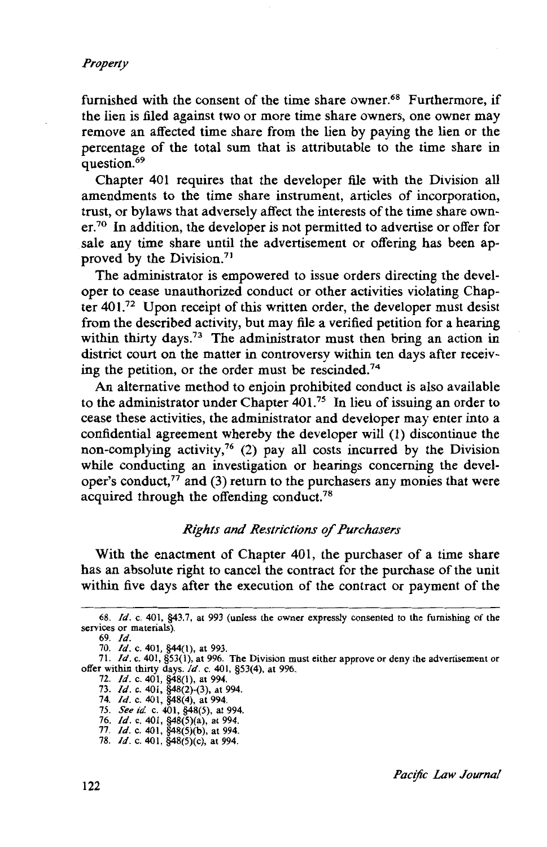furnished with the consent of the time share owner.<sup>68</sup> Furthermore, if the lien is filed against two or more time share owners, one owner may remove an affected time share from the lien by paying the lien or the percentage of the total sum that is attributable to the time share in question.<sup>69</sup>

Chapter 401 requires that the developer file with the Division all amendments to the time share instrument, articles of incorporation, trust, or bylaws that adversely affect the interests of the time share owner.70 In addition, the developer is not permitted to advertise or offer for sale any time share until the advertisement or offering has been approved by the Division.71

The administrator is empowered to issue orders directing the developer to cease unauthorized conduct or other activities violating Chapter  $401.^{72}$  Upon receipt of this written order, the developer must desist from the described activity, but may file a verified petition for a hearing within thirty days.<sup>73</sup> The administrator must then bring an action in district court on the matter in controversy within ten days after receiving the petition, or the order must be rescinded.<sup>74</sup>

An alternative method to enjoin prohibited conduct is also available to the administrator under Chapter 401.75 In lieu of issuing an order to cease these activities, the administrator and developer may enter into a confidential agreement whereby the developer will (1) discontinue the non-complying activity,76 (2) pay all costs incurred by the Division while conducting an investigation or hearings concerning the developer's conduct, $77$  and (3) return to the purchasers any monies that were acquired through the offending conduct.<sup>78</sup>

#### *Rights and Restrictions of Purchasers*

With the enactment of Chapter 401, the purchaser of a time share has an absolute right to cancel the contract for the purchase of the unit within five days after the execution of the contract or payment of the

<sup>68.</sup> *Id.* c. 401, §43.7, at 993 (unless the owner expressly consented to the furnishing of the services or materials)

<sup>69.</sup> *Id.* 

<sup>70.</sup> *Id.* c. 401, §44(1), at 993.

<sup>71.</sup> *Id.* c. 401, §53(1}, at 996. The Division must either approve or deny the advertisement or offer within thirty days. *Id.* c. 401, §53(4), at 996.

<sup>72.</sup> *Id.* c. 401, §48(1), at 994.

<sup>73.</sup> *Id.* c. 401, §48(2}-(3), at 994.

<sup>74.</sup> *Id.* c. 401, §48(4), at 994. 75. *See id* c. 401, §48(5), at 994.

<sup>76.</sup> *Id.* c. 401, §48(5)(a), at 994.

<sup>77.</sup> *Id.* c. 401, §48(5}(b), at 994.

<sup>78.</sup> *Id.* c. 401, §48(5)(c), at 994.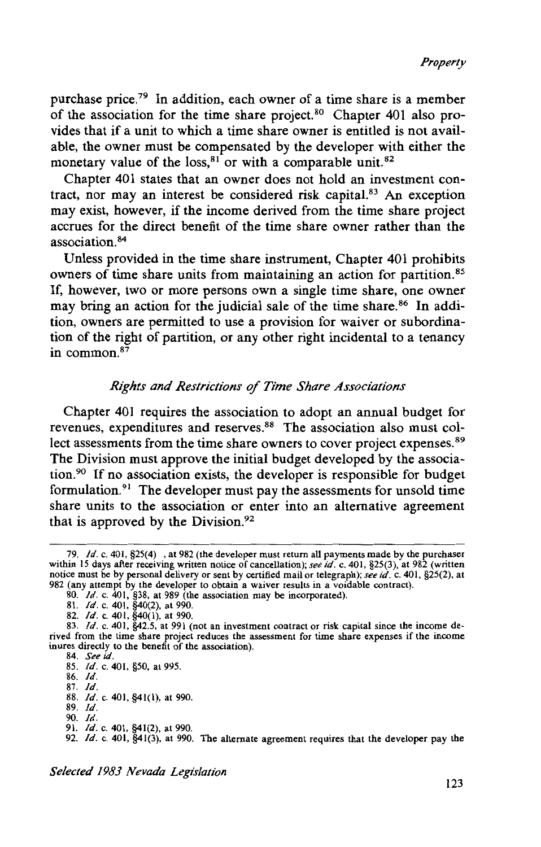purchase price.<sup>79</sup> In addition, each owner of a time share is a member of the association for the time share project.<sup>80</sup> Chapter 401 also provides that if a unit to which a time share owner is entitled is not available, the owner must be compensated by the developer with either the monetary value of the loss, $81$  or with a comparable unit.  $82$ 

Chapter 401 states that an owner does not hold an investment contract, nor may an interest be considered risk capital. $83$  An exception may exist, however, if the income derived from the time share project accrues for the direct benefit of the time share owner rather than the association. 84

Unless provided in the time share instrument, Chapter 401 prohibits owners of time share units from maintaining an action for partition.<sup>85</sup> If, however, two or more persons own a single time share, one owner may bring an action for the judicial sale of the time share.<sup>86</sup> In addition, owners are permitted to use a provision for waiver or subordination of the right of partition, or any other right incidental to a tenancy in common. 87

#### *Rights and Restrictions* of *Time Share Associations*

Chapter 401 requires the association to adopt an annual budget for revenues, expenditures and reserves.<sup>88</sup> The association also must collect assessments from the time share owners to cover project expenses.<sup>89</sup> The Division must approve the initial budget developed by the association.90 If no association exists, the developer is responsible for budget formulation.<sup>91</sup> The developer must pay the assessments for unsold time share units to the association or enter into an alternative agreement that is approved by the Division. $92$ 

91. *Id.* c. 401, §41(2), at 990.

<sup>79.</sup> */d.* c. 401, §25(4) , at 982 (the developer must return all payments made by the purchaser within 15 days after receiving written notice of cancellation); *see id.* c. 401, §25(3), at 982 (written notice must be by personal delivery or sent by certified mail or telegraph); *see id.* c. 401, §25(2), at 982 (any attempt by the developer to obtain a waiver results in a voidable contract). 80. */d.* c. 401, §38, at 989 (the association may be incorporated).

<sup>81.</sup> */d.* c. 401, §40(2), at 990.

<sup>82.</sup> *ld.* c. 401, §40(1), at 990.

<sup>83.</sup> *ld.* c. 401, §42.5, at 991 (not an investment contract or risk capital since the income derived from the time share project reduces the assessment for time share expenses if the income inures directly to the benefit of the association).

<sup>84.</sup> *See id.* 

<sup>85.</sup> */d.* c. 401, §50, at 995.

<sup>86.</sup> *ld.*  87. */d.* 

<sup>88.</sup> /d. c. 401, §41(1), at 990.

<sup>89.</sup> */d.* 

<sup>90.</sup> */d.* 

<sup>92.</sup> *Id.* c. 401, §41(3), at 990. The alternate agreement requires that the developer pay the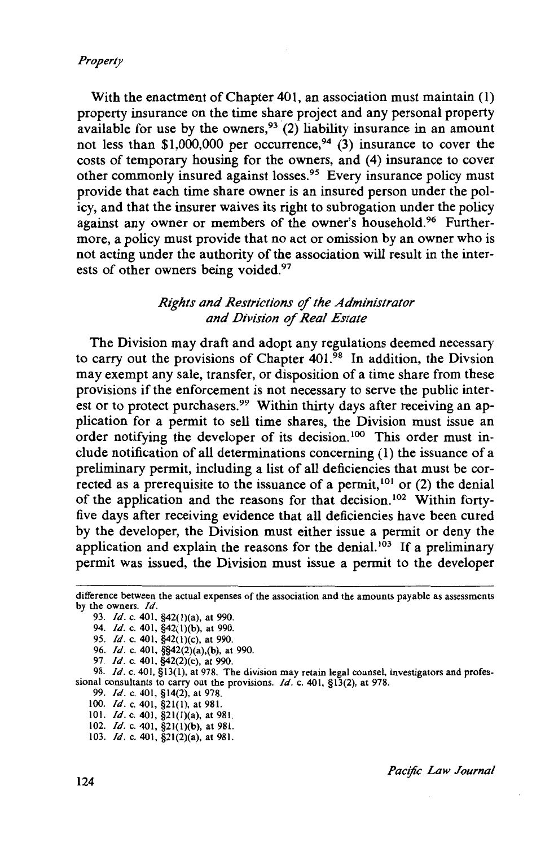With the enactment of Chapter 401, an association must maintain (1) property insurance on the time share project and any personal property available for use by the owners,<sup>93</sup> (2) liability insurance in an amount not less than \$1,000,000 per occurrence,  $94$  (3) insurance to cover the costs of temporary housing for the owners, and (4) insurance to cover other commonly insured against losses.95 Every insurance policy must provide that each time share owner is an insured person under the policy, and that the insurer waives its right to subrogation under the policy against any owner or members of the owner's household.96 Furthermore, a policy must provide that no act or omission by an owner who is not acting under the authority of the association will result in the interests of other owners being voided.<sup>97</sup>

### *Rights and Restrictions* of *the Administrator and Division of Real Estate*

The Division may draft and adopt any regulations deemed necessary to carry out the provisions of Chapter  $401$ .<sup>98</sup> In addition, the Divsion may exempt any sale, transfer, or disposition of a time share from these provisions if the enforcement is not necessary to serve the public interest or to protect purchasers.<sup>99</sup> Within thirty days after receiving an application for a permit to sell time shares, the Division must issue an order notifying the developer of its decision.<sup>100</sup> This order must include notification of all determinations concerning (1) the issuance of a preliminary permit, including a list of all deficiencies that must be corrected as a prerequisite to the issuance of a permit, 101 or (2) the denial of the application and the reasons for that decision. 102 Within fortyfive days after receiving evidence that all deficiencies have been cured by the developer, the Division must either issue a permit or deny the application and explain the reasons for the denial. $103$  If a preliminary permit was issued, the Division must issue a permit to the developer

98. *ld.* c. 401, §13(1), at 978. The division may retain legal counsel, investigators and professional consultants to carry out the provisions. */d.* c. 401, §13(2), at 978.

99. /d. c. 401, §14(2), at 978.

- 100. *Id.* c. 401, §21(1), at 981.
- 101. */d.* c. 401, §2l(l)(a), at 981. 102. *ld.* c. 401, §2l(l)(b), at 981.

103. /d. c. 401, §21(2)(a), at 981.

difference between the actual expenses of the association and the amounts payable as assessments by the owners. */d.* 

<sup>93.</sup> *!d.* c. 401, §42(l)(a), at 990.

<sup>94.</sup> *Id.* c. 401, §42(1)(b), at 990.

<sup>95.</sup> *Id.* c. 401, §42(1)(c), at 990.

<sup>96.</sup> *!d.* c. 401, §§42(2)(a),(b), at 990.

<sup>97.</sup> */d.* c. 401, §42(2)(c), at 990.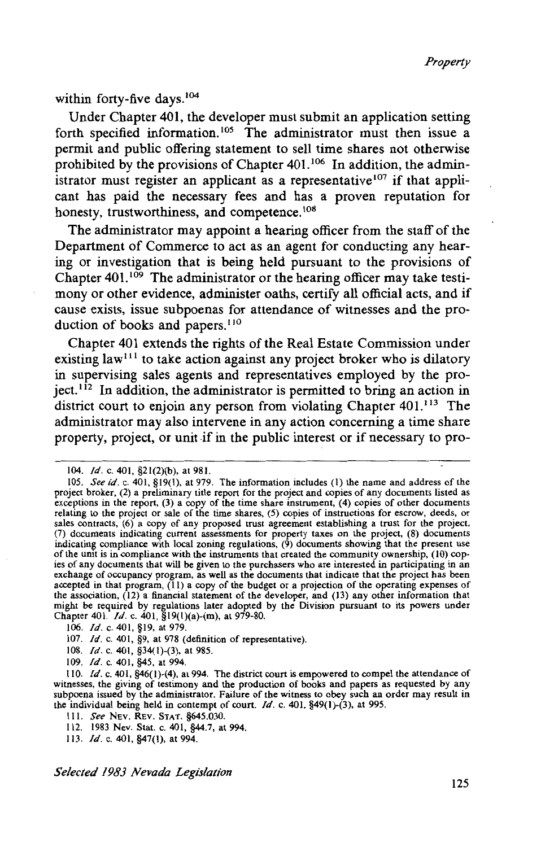within forty-five days.<sup>104</sup>

Under Chapter 401, the developer must submit an application setting forth specified information.<sup>105</sup> The administrator must then issue a permit and public offering statement to sell time shares not otherwise prohibited by the provisions of Chapter  $401$ .<sup>106</sup> In addition, the administrator must register an applicant as a representative  $107$  if that applicant has paid the necessary fees and has a proven reputation for honesty, trustworthiness, and competence.<sup>108</sup>

The administrator may appoint a hearing officer from the staff of the Department of Commerce to act as an agent for conducting any hearing or investigation that is being held pursuant to the provisions of Chapter  $401$ .<sup>109</sup> The administrator or the hearing officer may take testimony or other evidence, administer oaths, certify all official acts, and if cause exists, issue subpoenas for attendance of witnesses and the production of books and papers.<sup>110</sup>

Chapter 401 extends the rights of the Real Estate Commission under existing  $law<sup>111</sup>$  to take action against any project broker who is dilatory in supervising sales agents and representatives employed by the project.<sup>112</sup> In addition, the administrator is permitted to bring an action in district court to enjoin any person from violating Chapter 401.<sup>113</sup> The administrator may also intervene in any action concerning a time share property, project, or unit if in the public interest or if necessary to pro-

- 107. */d.* c. 401, §9, at 978 (definition of representative).
- 108. */d.* c. 401, §34(1)-(3), at 985.
- 109. *Id.* c. 401, §45, at 994.

<sup>104.</sup> */d.* c. 401, §21(2)(b), at 981.

<sup>105.</sup> *See id.* c. 401, §19(1), at 979. The information includes (I) the name and address of the project broker, (2) a preliminary title report for the project and copies of any documents listed as exceptions in the report, (3) a copy of the time share instrument, (4) copies of other documents relating to the project or sale of the time shares, (5) copies of instructions for escrow, deeds, or sales contracts, (6) a copy of any proposed trust agreement establishing a trust for the project, (7) documents indicating current assessments for property taxes on the project, (8) documents indicating compliance with local zoning regulations, (9) documents showing that the present use of the umt is in compliance with the instruments that created the community ownership, (10) copies of any documents that will be given to the purchasers who are interested in participating in an exchange of occupancy program, as well as the documents that indicate that the project has been accepted in that program, (11) a copy of the budget or a projection of the operating expenses of the association, (12) a financial statement of the developer, and (13) any other information that might be required by regulations later adopted by the Division pursuant to its powers under Chapter 401. */d.* c. 401, §19(1)(a)-(m), at 979-80.

<sup>106.</sup> */d.* c. 401, §19, at 979.

<sup>110.</sup> */d.* c. 401, §46(1)-(4), al994. The district court is empowered to compel the attendance of witnesses, the giving of testimony and the production of books and papers as requested by any subpoena issued by the administrator. Failure of the witness to obey such an order may result in the individual being held in contempt of court. */d.* c. 401, §49(1)-(3), at 995.

Ill. *See* NEV. REV. STAT. §645.030.

<sup>112. 1983</sup> Nev. Stat. c. 401, §44.7, at 994.

<sup>113.</sup> */d.* c. 401, §47(1), at 994.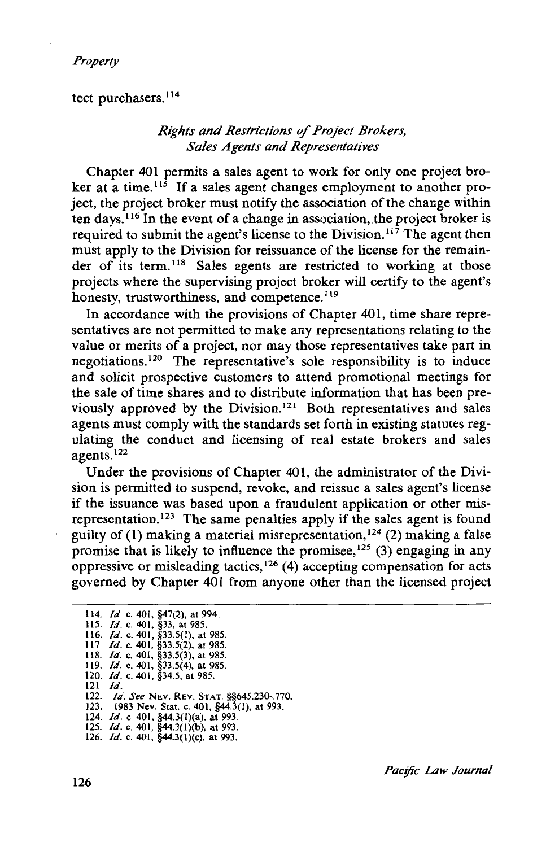tect purchasers.<sup>114</sup>

### *Rights and Restrictions* of *Project Brokers, Sales Agents and Representatives*

Chapter 401 permits a sales agent to work for only one project broker at a time.<sup>115</sup> If a sales agent changes employment to another project, the project broker must notify the association of the change within ten days. 116 In the event of a change in association, the project broker is required to submit the agent's license to the Division.<sup>117</sup> The agent then must apply to the Division for reissuance of the license for the remainder of its term.<sup>118</sup> Sales agents are restricted to working at those projects where the supervising project broker will certify to the agent's honesty, trustworthiness, and competence.<sup>119</sup>

In accordance with the provisions of Chapter 401, time share representatives are not permitted to make any representations relating to the value or merits of a project, nor may those representatives take part in negotiations. 120 The representative's sole responsibility is to induce and solicit prospective customers to attend promotional meetings for the sale of time shares and to distribute information that has been previously approved by the Division. 121 Both representatives and sales agents must comply with the standards set forth in existing statutes regulating the conduct and licensing of real estate brokers and sales agents. <sup>122</sup>

Under the provisions of Chapter 401, the administrator of the Division is permitted to suspend, revoke, and reissue a sales agent's license if the issuance was based upon a fraudulent application or other misrepresentation.<sup>123</sup> The same penalties apply if the sales agent is found guilty of (1) making a material misrepresentation,  $124$  (2) making a false promise that is likely to influence the promisee,  $125$  (3) engaging in any oppressive or misleading tactics,  $126(4)$  accepting compensation for acts governed by Chapter 401 from anyone other than the licensed project

<sup>114.</sup> *Id.* c. 401, §47(2), at 994. 115. *Id.* c. 401, §33, at 985. 116. *Id.* c. 401, §33.5(1), at 985. 117. *Id.* c. 401, §33.5(2), at 985. 118. *Id.* c. 401, §33.5(3), at 985. 119. *Id.* c. 401, §33.5(4), at 985. 120. *ld.* c. 401, §34.5, at 985. 121. *ld.*  122. *ld. See* NEV. REV. STAT. §§645.230-.770. 123. 1983 Nev. Stat. c. 401, §44.3(1), at 993. 124. *Id.* c. 401, §44.3(1)(a), at 993. 125. *ld.* c. 401, §44.3(1)(b), at 993. 126. *Id.* c. 401, §44.3(1)(c), at 993.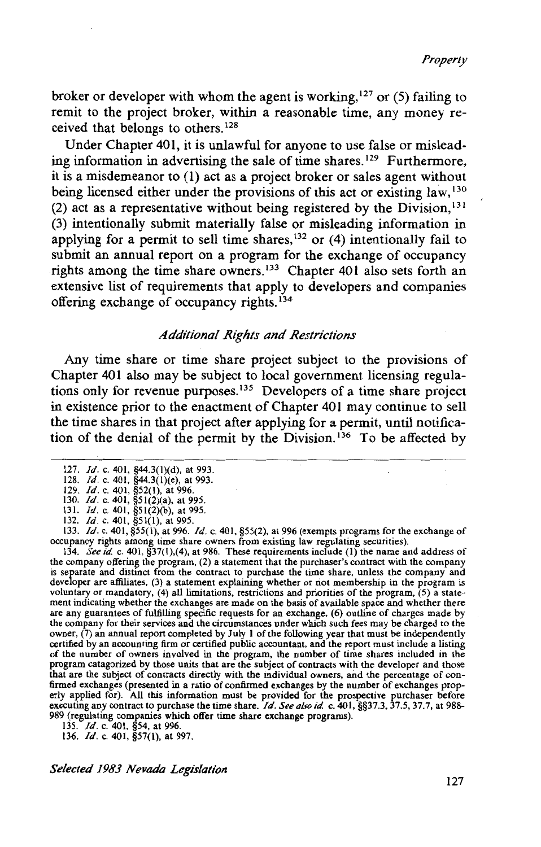broker or developer with whom the agent is working,  $127$  or (5) failing to remit to the project broker, within a reasonable time, any money received that belongs to others. <sup>128</sup>

Under Chapter 401, it is unlawful for anyone to use false or misleading information in advertising the sale of time shares.<sup>129</sup> Furthermore, it is a misdemeanor to (1) act as a project broker or sales agent without being licensed either under the provisions of this act or existing law, <sup>130</sup> (2) act as a representative without being registered by the Division,  $131$ (3) intentionally submit materially false or misleading information in applying for a permit to sell time shares,  $132$  or (4) intentionally fail to submit an annual report on a program for the exchange of occupancy rights among the time share owners.<sup>133</sup> Chapter 401 also sets forth an extensive list of requirements that apply to developers and companies offering exchange of occupancy rights. 134

#### *Additional Rights and Restrictions*

Any time share or time share project subject to the provisions of Chapter 401 also may be subject to local government licensing regulations only for revenue purposes. 135 Developers of a time share project in existence prior to the enactment of Chapter 401 may continue to sell the time shares in that project after applying for a permit, until notification of the denial of the permit by the Division.<sup>136</sup> To be affected by

occupancy rights among time share owners from existing law regulating securities). 134. *See id.* c. 401, §37(1),(4), at 986. These requirements include (I) the name and address of the company offering the program, (2) a statement that the purchaser's contract with the company is separate and distinct from the contract to purchase the time share, unless the company and developer are affiliates, (3) a statement explaining whether or riot membership in the program is voluntary or mandatory, (4) all limitations, restrictions and priorities of the program, (5) a statement indicating whether the exchanges are made on the basis of available space and whether there are any guarantees of fulfilling specific requests for an exchange, (6) outline of charges made by the company for their services and the circumstances under which such fees may be charged to the owner, (7) an annual report completed by July I of the following year that must be independently certified by an accounting firm or certified public accountant, and the report must include a listing of the number of owners involved in the program, the number of time shares included in the program catagorized by those units that are the subject of contracts with the developer and those that are the subject of contracts directly with the individual owners, and the percentage of confirmed exchanges (presented in a ratio of confirmed exchanges by the number of exchanges properly applied for). All this information must be provided for the prospective purchaser before executing any contract to purchase the time share. */d. See also id.* c. 401, §§37.3, 37.5, 37.7, at 988- 989 (regulating companies which offer time share exchange programs). 135. */d.* c. 401, §54, at 996.

136. *Id.* c. 401, §57(1), at 997.

<sup>127.</sup> */d.* c. 401, §44.3(l)(d), at 993.

<sup>128.</sup> */d.* c. 401, §44.3(l)(e), at 993.

<sup>129.</sup> */d.* c. 401, §52(1), at 996. 130. *Id.* c. 401, §51(2)(a), at 995.

<sup>131.</sup> */d.* c. 401, §51(2)(b), at 995. 132. */d.* c. 401, §51(1), at 995.

<sup>133.</sup> *Id.* c. 401,  $\S55(1)$ , at 996. *Id.* c. 401,  $\S55(2)$ , at 996 (exempts programs for the exchange of